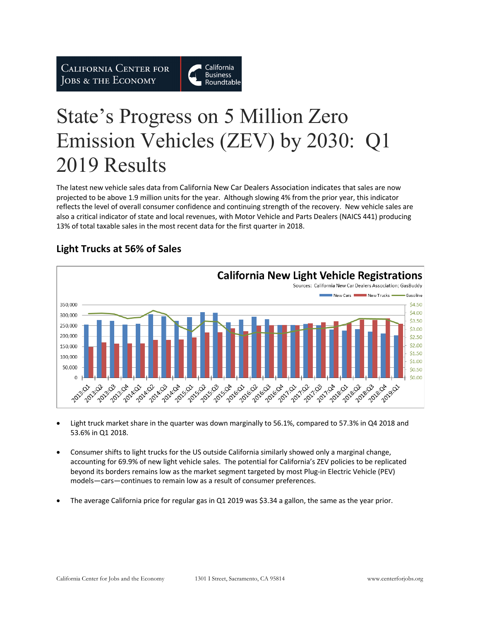**CALIFORNIA CENTER FOR** JOBS & THE ECONOMY



# State's Progress on 5 Million Zero Emission Vehicles (ZEV) by 2030: Q1 2019 Results

The latest new vehicle sales data from California New Car Dealers Association indicates that sales are now projected to be above 1.9 million units for the year. Although slowing 4% from the prior year, this indicator reflects the level of overall consumer confidence and continuing strength of the recovery. New vehicle sales are also a critical indicator of state and local revenues, with Motor Vehicle and Parts Dealers (NAICS 441) producing 13% of total taxable sales in the most recent data for the first quarter in 2018.



# **Light Trucks at 56% of Sales**

- Light truck market share in the quarter was down marginally to 56.1%, compared to 57.3% in Q4 2018 and 53.6% in Q1 2018.
- Consumer shifts to light trucks for the US outside California similarly showed only a marginal change, accounting for 69.9% of new light vehicle sales. The potential for California's ZEV policies to be replicated beyond its borders remains low as the market segment targeted by most Plug-in Electric Vehicle (PEV) models—cars—continues to remain low as a result of consumer preferences.
- The average California price for regular gas in Q1 2019 was \$3.34 a gallon, the same as the year prior.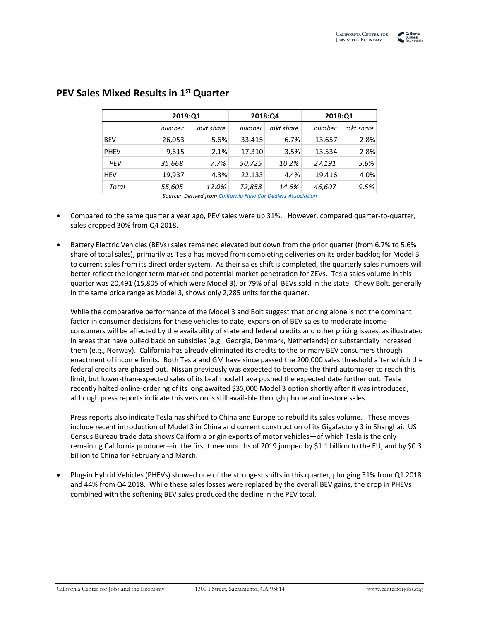| 2019:Q1 |           | 2018:Q4 |           | 2018:Q1 |           |
|---------|-----------|---------|-----------|---------|-----------|
| number  | mkt share | number  | mkt share | number  | mkt share |
| 26,053  | 5.6%      | 33,415  | 6.7%      | 13,657  | 2.8%      |
| 9,615   | 2.1%      | 17,310  | 3.5%      | 13,534  | 2.8%      |
| 35,668  | 7.7%      | 50,725  | 10.2%     | 27,191  | 5.6%      |
| 19,937  | 4.3%      | 22,133  | 4.4%      | 19.416  | 4.0%      |
| 55,605  | 12.0%     | 72,858  | 14.6%     | 46,607  | 9.5%      |
|         |           |         |           |         |           |

#### **PEV Sales Mixed Results in 1st Quarter**

*Source: Derived from California New Car Dealers Association*

- Compared to the same quarter a year ago, PEV sales were up 31%. However, compared quarter-to-quarter, sales dropped 30% from Q4 2018.
- Battery Electric Vehicles (BEVs) sales remained elevated but down from the prior quarter (from 6.7% to 5.6% share of total sales), primarily as Tesla has moved from completing deliveries on its order backlog for Model 3 to current sales from its direct order system. As their sales shift is completed, the quarterly sales numbers will better reflect the longer term market and potential market penetration for ZEVs. Tesla sales volume in this quarter was 20,491 (15,805 of which were Model 3), or 79% of all BEVs sold in the state. Chevy Bolt, generally in the same price range as Model 3, shows only 2,285 units for the quarter.

While the comparative performance of the Model 3 and Bolt suggest that pricing alone is not the dominant factor in consumer decisions for these vehicles to date, expansion of BEV sales to moderate income consumers will be affected by the availability of state and federal credits and other pricing issues, as illustrated in areas that have pulled back on subsidies (e.g., Georgia, Denmark, Netherlands) or substantially increased them (e.g., Norway). California has already eliminated its credits to the primary BEV consumers through enactment of income limits. Both Tesla and GM have since passed the 200,000 sales threshold after which the federal credits are phased out. Nissan previously was expected to become the third automaker to reach this limit, but lower-than-expected sales of its Leaf model have pushed the expected date further out. Tesla recently halted online-ordering of its long awaited \$35,000 Model 3 option shortly after it was introduced, although press reports indicate this version is still available through phone and in-store sales.

Press reports also indicate Tesla has shifted to China and Europe to rebuild its sales volume. These moves include recent introduction of Model 3 in China and current construction of its Gigafactory 3 in Shanghai. US Census Bureau trade data shows California origin exports of motor vehicles—of which Tesla is the only remaining California producer—in the first three months of 2019 jumped by \$1.1 billion to the EU, and by \$0.3 billion to China for February and March.

• Plug-in Hybrid Vehicles (PHEVs) showed one of the strongest shifts in this quarter, plunging 31% from Q1 2018 and 44% from Q4 2018. While these sales losses were replaced by the overall BEV gains, the drop in PHEVs combined with the softening BEV sales produced the decline in the PEV total.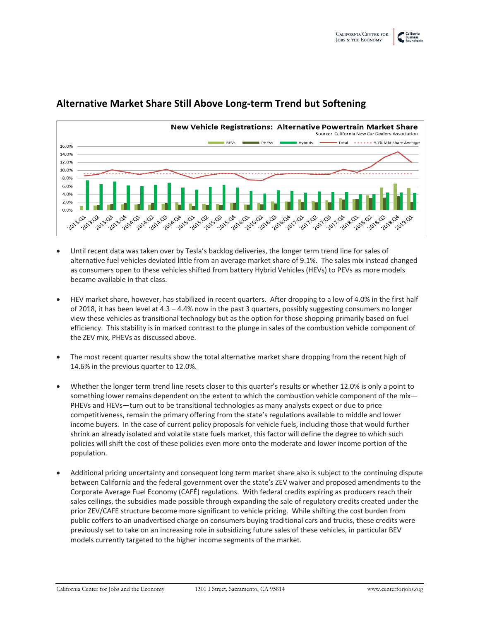

#### **Alternative Market Share Still Above Long-term Trend but Softening**

- Until recent data was taken over by Tesla's backlog deliveries, the longer term trend line for sales of alternative fuel vehicles deviated little from an average market share of 9.1%. The sales mix instead changed as consumers open to these vehicles shifted from battery Hybrid Vehicles (HEVs) to PEVs as more models became available in that class.
- HEV market share, however, has stabilized in recent quarters. After dropping to a low of 4.0% in the first half of 2018, it has been level at 4.3 – 4.4% now in the past 3 quarters, possibly suggesting consumers no longer view these vehicles as transitional technology but as the option for those shopping primarily based on fuel efficiency. This stability is in marked contrast to the plunge in sales of the combustion vehicle component of the ZEV mix, PHEVs as discussed above.
- The most recent quarter results show the total alternative market share dropping from the recent high of 14.6% in the previous quarter to 12.0%.
- Whether the longer term trend line resets closer to this quarter's results or whether 12.0% is only a point to something lower remains dependent on the extent to which the combustion vehicle component of the mix-PHEVs and HEVs—turn out to be transitional technologies as many analysts expect or due to price competitiveness, remain the primary offering from the state's regulations available to middle and lower income buyers. In the case of current policy proposals for vehicle fuels, including those that would further shrink an already isolated and volatile state fuels market, this factor will define the degree to which such policies will shift the cost of these policies even more onto the moderate and lower income portion of the population.
- Additional pricing uncertainty and consequent long term market share also is subject to the continuing dispute between California and the federal government over the state's ZEV waiver and proposed amendments to the Corporate Average Fuel Economy (CAFÉ) regulations. With federal credits expiring as producers reach their sales ceilings, the subsidies made possible through expanding the sale of regulatory credits created under the prior ZEV/CAFE structure become more significant to vehicle pricing. While shifting the cost burden from public coffers to an unadvertised charge on consumers buying traditional cars and trucks, these credits were previously set to take on an increasing role in subsidizing future sales of these vehicles, in particular BEV models currently targeted to the higher income segments of the market.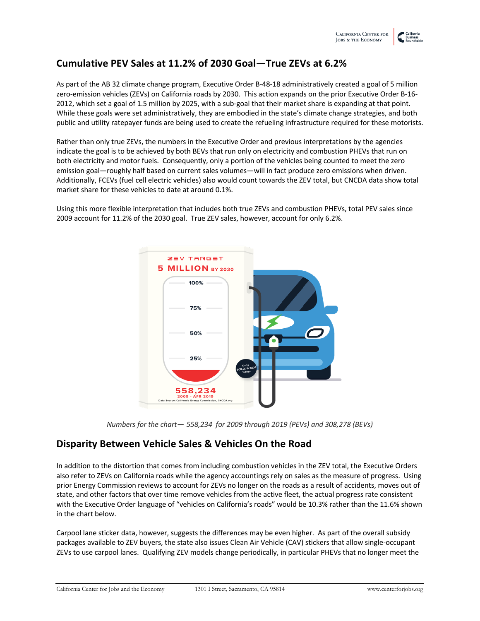## **Cumulative PEV Sales at 11.2% of 2030 Goal—True ZEVs at 6.2%**

As part of the AB 32 climate change program, Executive Order B-48-18 administratively created a goal of 5 million zero-emission vehicles (ZEVs) on California roads by 2030. This action expands on the prior Executive Order B-16- 2012, which set a goal of 1.5 million by 2025, with a sub-goal that their market share is expanding at that point. While these goals were set administratively, they are embodied in the state's climate change strategies, and both public and utility ratepayer funds are being used to create the refueling infrastructure required for these motorists.

Rather than only true ZEVs, the numbers in the Executive Order and previous interpretations by the agencies indicate the goal is to be achieved by both BEVs that run only on electricity and combustion PHEVs that run on both electricity and motor fuels. Consequently, only a portion of the vehicles being counted to meet the zero emission goal—roughly half based on current sales volumes—will in fact produce zero emissions when driven. Additionally, FCEVs (fuel cell electric vehicles) also would count towards the ZEV total, but CNCDA data show total market share for these vehicles to date at around 0.1%.

Using this more flexible interpretation that includes both true ZEVs and combustion PHEVs, total PEV sales since 2009 account for 11.2% of the 2030 goal. True ZEV sales, however, account for only 6.2%.



*Numbers for the chart— 558,234 for 2009 through 2019 (PEVs) and 308,278 (BEVs)*

#### **Disparity Between Vehicle Sales & Vehicles On the Road**

In addition to the distortion that comes from including combustion vehicles in the ZEV total, the Executive Orders also refer to ZEVs on California roads while the agency accountings rely on sales as the measure of progress. Using prior Energy Commission reviews to account for ZEVs no longer on the roads as a result of accidents, moves out of state, and other factors that over time remove vehicles from the active fleet, the actual progress rate consistent with the Executive Order language of "vehicles on California's roads" would be 10.3% rather than the 11.6% shown in the chart below.

Carpool lane sticker data, however, suggests the differences may be even higher. As part of the overall subsidy packages available to ZEV buyers, the state also issues Clean Air Vehicle (CAV) stickers that allow single-occupant ZEVs to use carpool lanes. Qualifying ZEV models change periodically, in particular PHEVs that no longer meet the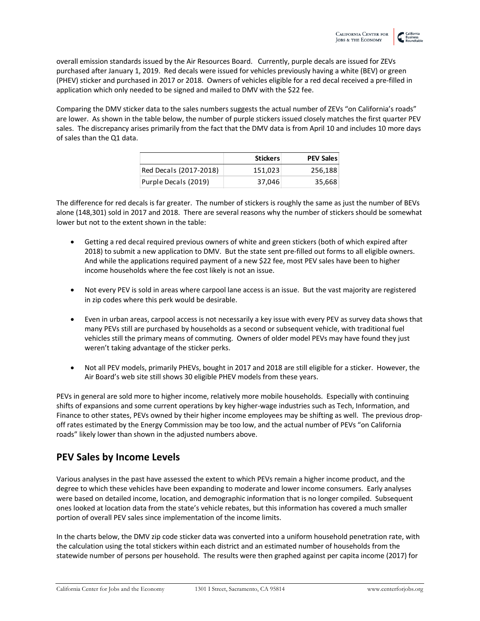overall emission standards issued by the Air Resources Board. Currently, purple decals are issued for ZEVs purchased after January 1, 2019. Red decals were issued for vehicles previously having a white (BEV) or green (PHEV) sticker and purchased in 2017 or 2018. Owners of vehicles eligible for a red decal received a pre-filled in application which only needed to be signed and mailed to DMV with the \$22 fee.

Comparing the DMV sticker data to the sales numbers suggests the actual number of ZEVs "on California's roads" are lower. As shown in the table below, the number of purple stickers issued closely matches the first quarter PEV sales. The discrepancy arises primarily from the fact that the DMV data is from April 10 and includes 10 more days of sales than the Q1 data.

|                        | <b>Stickers</b> | <b>PEV Sales</b> |
|------------------------|-----------------|------------------|
| Red Decals (2017-2018) | 151.023         | 256,188          |
| Purple Decals (2019)   | 37.046          | 35,668           |

The difference for red decals is far greater. The number of stickers is roughly the same as just the number of BEVs alone (148,301) sold in 2017 and 2018. There are several reasons why the number of stickers should be somewhat lower but not to the extent shown in the table:

- Getting a red decal required previous owners of white and green stickers (both of which expired after 2018) to submit a new application to DMV. But the state sent pre-filled out forms to all eligible owners. And while the applications required payment of a new \$22 fee, most PEV sales have been to higher income households where the fee cost likely is not an issue.
- Not every PEV is sold in areas where carpool lane access is an issue. But the vast majority are registered in zip codes where this perk would be desirable.
- Even in urban areas, carpool access is not necessarily a key issue with every PEV as survey data shows that many PEVs still are purchased by households as a second or subsequent vehicle, with traditional fuel vehicles still the primary means of commuting. Owners of older model PEVs may have found they just weren't taking advantage of the sticker perks.
- Not all PEV models, primarily PHEVs, bought in 2017 and 2018 are still eligible for a sticker. However, the Air Board's web site still shows 30 eligible PHEV models from these years.

PEVs in general are sold more to higher income, relatively more mobile households. Especially with continuing shifts of expansions and some current operations by key higher-wage industries such as Tech, Information, and Finance to other states, PEVs owned by their higher income employees may be shifting as well. The previous dropoff rates estimated by the Energy Commission may be too low, and the actual number of PEVs "on California roads" likely lower than shown in the adjusted numbers above.

## **PEV Sales by Income Levels**

Various analyses in the past have assessed the extent to which PEVs remain a higher income product, and the degree to which these vehicles have been expanding to moderate and lower income consumers. Early analyses were based on detailed income, location, and demographic information that is no longer compiled. Subsequent ones looked at location data from the state's vehicle rebates, but this information has covered a much smaller portion of overall PEV sales since implementation of the income limits.

In the charts below, the DMV zip code sticker data was converted into a uniform household penetration rate, with the calculation using the total stickers within each district and an estimated number of households from the statewide number of persons per household. The results were then graphed against per capita income (2017) for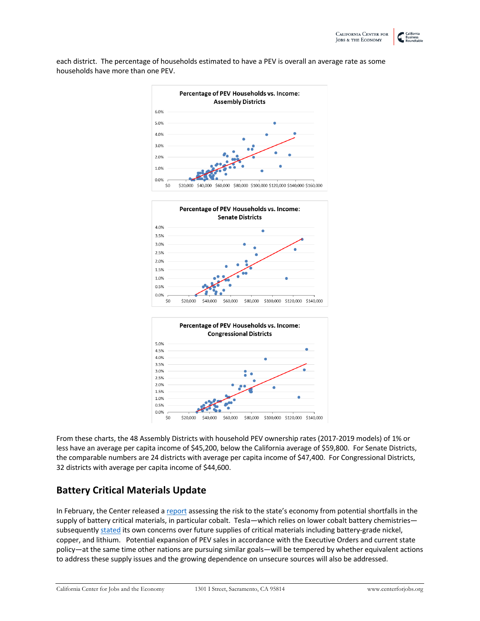each district. The percentage of households estimated to have a PEV is overall an average rate as some households have more than one PEV.







From these charts, the 48 Assembly Districts with household PEV ownership rates (2017-2019 models) of 1% or less have an average per capita income of \$45,200, below the California average of \$59,800. For Senate Districts, the comparable numbers are 24 districts with average per capita income of \$47,400. For Congressional Districts, 32 districts with average per capita income of \$44,600.

## **Battery Critical Materials Update**

In February, the Center released a report assessing the risk to the state's economy from potential shortfalls in the supply of battery critical materials, in particular cobalt. Tesla—which relies on lower cobalt battery chemistries subsequently stated its own concerns over future supplies of critical materials including battery-grade nickel, copper, and lithium. Potential expansion of PEV sales in accordance with the Executive Orders and current state policy—at the same time other nations are pursuing similar goals—will be tempered by whether equivalent actions to address these supply issues and the growing dependence on unsecure sources will also be addressed.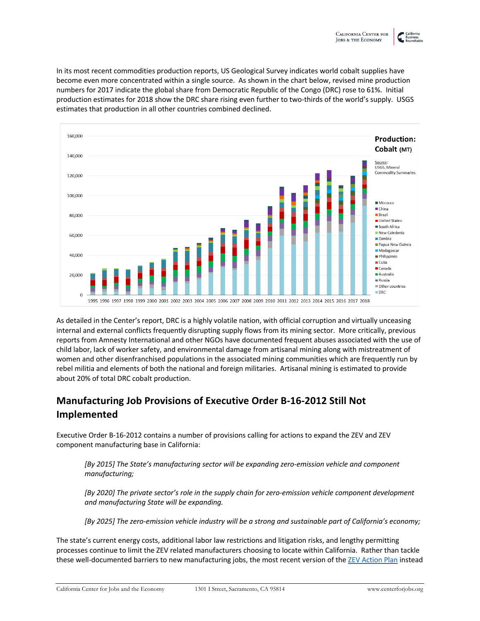In its most recent commodities production reports, US Geological Survey indicates world cobalt supplies have become even more concentrated within a single source. As shown in the chart below, revised mine production numbers for 2017 indicate the global share from Democratic Republic of the Congo (DRC) rose to 61%. Initial production estimates for 2018 show the DRC share rising even further to two-thirds of the world's supply. USGS estimates that production in all other countries combined declined.



As detailed in the Center's report, DRC is a highly volatile nation, with official corruption and virtually unceasing internal and external conflicts frequently disrupting supply flows from its mining sector. More critically, previous reports from Amnesty International and other NGOs have documented frequent abuses associated with the use of child labor, lack of worker safety, and environmental damage from artisanal mining along with mistreatment of women and other disenfranchised populations in the associated mining communities which are frequently run by rebel militia and elements of both the national and foreign militaries. Artisanal mining is estimated to provide about 20% of total DRC cobalt production.

# **Manufacturing Job Provisions of Executive Order B-16-2012 Still Not Implemented**

Executive Order B-16-2012 contains a number of provisions calling for actions to expand the ZEV and ZEV component manufacturing base in California:

*[By 2015] The State's manufacturing sector will be expanding zero-emission vehicle and component manufacturing;*

*[By 2020] The private sector's role in the supply chain for zero-emission vehicle component development and manufacturing State will be expanding.*

*[By 2025] The zero-emission vehicle industry will be a strong and sustainable part of California's economy;*

The state's current energy costs, additional labor law restrictions and litigation risks, and lengthy permitting processes continue to limit the ZEV related manufacturers choosing to locate within California. Rather than tackle these well-documented barriers to new manufacturing jobs, the most recent version of the ZEV Action Plan instead